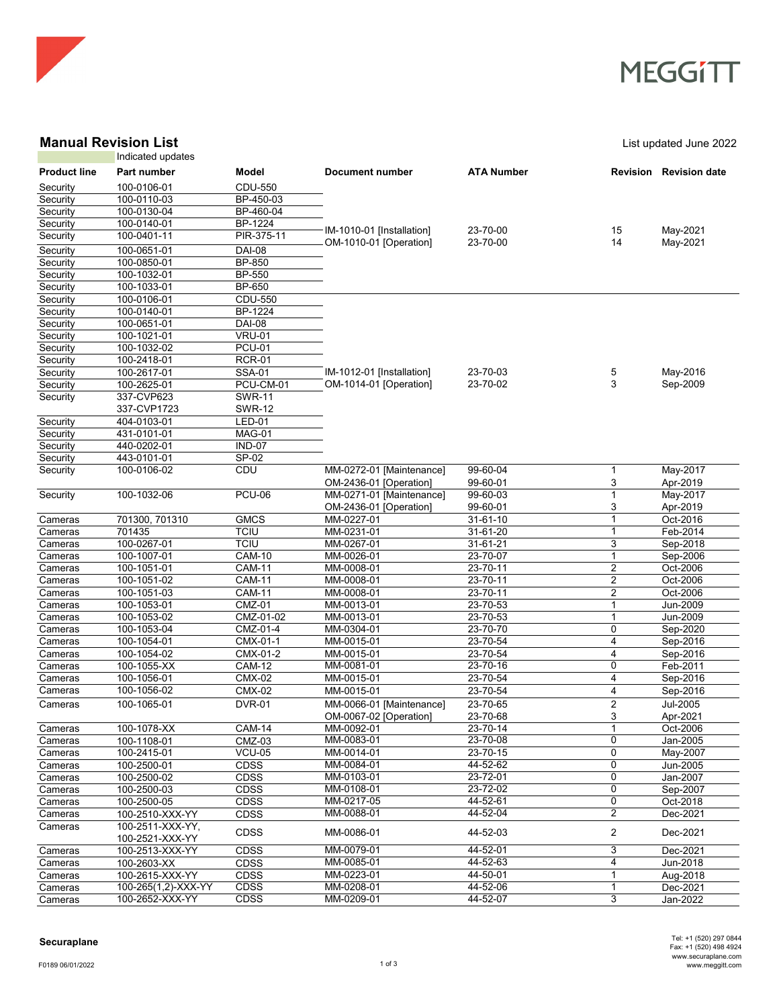

### **MEGGITT**

### **Manual Revision List List Constanting Constanting Constanting Constanting Constanting Constanting Constanting Constanting Constanting Constanting Constanting Constanting Constanting Constanting Constanting Constanting C**

|                     | Indicated updates                   |                              |                           |                      |                   |                      |
|---------------------|-------------------------------------|------------------------------|---------------------------|----------------------|-------------------|----------------------|
| <b>Product line</b> | Part number                         | Model                        | <b>Document number</b>    | <b>ATA Number</b>    | Revision          | <b>Revision date</b> |
| Security            | 100-0106-01                         | CDU-550                      |                           |                      |                   |                      |
| Security            | 100-0110-03                         | BP-450-03                    |                           |                      |                   |                      |
| Security            | 100-0130-04                         | BP-460-04                    |                           |                      |                   |                      |
| Security            | 100-0140-01                         | BP-1224                      |                           |                      |                   |                      |
| Security            | 100-0401-11                         | PIR-375-11                   | IM-1010-01 [Installation] | 23-70-00             | 15                | May-2021             |
| Security            | 100-0651-01                         | <b>DAI-08</b>                | OM-1010-01 [Operation]    | 23-70-00             | 14                | May-2021             |
| Security            | 100-0850-01                         | <b>BP-850</b>                |                           |                      |                   |                      |
| Security            | $100 - 1032 - 01$                   | <b>BP-550</b>                |                           |                      |                   |                      |
| Security            | 100-1033-01                         | BP-650                       |                           |                      |                   |                      |
| Security            | 100-0106-01                         | CDU-550                      |                           |                      |                   |                      |
| Security            | 100-0140-01                         | BP-1224                      |                           |                      |                   |                      |
| Security            | 100-0651-01                         | <b>DAI-08</b>                |                           |                      |                   |                      |
| Security            | 100-1021-01                         | <b>VRU-01</b>                |                           |                      |                   |                      |
| Security            | 100-1032-02                         | <b>PCU-01</b>                |                           |                      |                   |                      |
| Security            | 100-2418-01                         | <b>RCR-01</b>                |                           |                      |                   |                      |
| Security            | 100-2617-01                         | <b>SSA-01</b>                | IM-1012-01 [Installation] | 23-70-03             | 5                 | May-2016             |
| Security            | 100-2625-01                         | PCU-CM-01                    | OM-1014-01 [Operation]    | 23-70-02             | 3                 | Sep-2009             |
| Security            | 337-CVP623                          | <b>SWR-11</b>                |                           |                      |                   |                      |
|                     | 337-CVP1723                         | <b>SWR-12</b>                |                           |                      |                   |                      |
| Security            | 404-0103-01                         | <b>LED-01</b>                |                           |                      |                   |                      |
| Security            | 431-0101-01                         | MAG-01                       |                           |                      |                   |                      |
| Security            | 440-0202-01                         | <b>IND-07</b>                |                           |                      |                   |                      |
| Security            | 443-0101-01                         | SP-02                        |                           |                      |                   |                      |
| Security            | 100-0106-02                         | CDU                          | MM-0272-01 [Maintenance]  | 99-60-04             | 1                 | May-2017             |
|                     |                                     |                              | OM-2436-01 [Operation]    | 99-60-01             | 3                 | Apr-2019             |
| Security            | 100-1032-06                         | <b>PCU-06</b>                | MM-0271-01 [Maintenance]  | 99-60-03             | 1                 | May-2017             |
|                     |                                     |                              | OM-2436-01 [Operation]    | 99-60-01             | 3                 | Apr-2019             |
| Cameras             | 701300, 701310                      | <b>GMCS</b>                  | MM-0227-01                | 31-61-10             | $\mathbf{1}$      | Oct-2016             |
| Cameras             | 701435                              | <b>TCIU</b>                  | MM-0231-01                | 31-61-20             | $\mathbf{1}$      | Feb-2014             |
| Cameras             | 100-0267-01<br>100-1007-01          | <b>TCIU</b><br><b>CAM-10</b> | MM-0267-01                | 31-61-21<br>23-70-07 | 3<br>$\mathbf{1}$ | Sep-2018             |
| Cameras<br>Cameras  | 100-1051-01                         | <b>CAM-11</b>                | MM-0026-01<br>MM-0008-01  | 23-70-11             | 2                 | Sep-2006<br>Oct-2006 |
| Cameras             | 100-1051-02                         | <b>CAM-11</b>                | MM-0008-01                | 23-70-11             | 2                 | Oct-2006             |
| Cameras             | 100-1051-03                         | <b>CAM-11</b>                | MM-0008-01                | 23-70-11             | 2                 | Oct-2006             |
| Cameras             | 100-1053-01                         | <b>CMZ-01</b>                | MM-0013-01                | 23-70-53             | 1                 | Jun-2009             |
| Cameras             | 100-1053-02                         | CMZ-01-02                    | MM-0013-01                | 23-70-53             | $\mathbf{1}$      | Jun-2009             |
| Cameras             | 100-1053-04                         | CMZ-01-4                     | MM-0304-01                | 23-70-70             | 0                 | Sep-2020             |
| Cameras             | 100-1054-01                         | CMX-01-1                     | MM-0015-01                | 23-70-54             | 4                 | Sep-2016             |
| Cameras             | 100-1054-02                         | CMX-01-2                     | MM-0015-01                | 23-70-54             | 4                 | Sep-2016             |
| Cameras             | 100-1055-XX                         | <b>CAM-12</b>                | MM-0081-01                | 23-70-16             | 0                 | Feb-2011             |
| Cameras             | 100-1056-01                         | <b>CMX-02</b>                | MM-0015-01                | 23-70-54             | 4                 | Sep-2016             |
| Cameras             | 100-1056-02                         | <b>CMX-02</b>                | MM-0015-01                | 23-70-54             | 4                 | Sep-2016             |
| Cameras             | 100-1065-01                         | <b>DVR-01</b>                | MM-0066-01 [Maintenance]  | 23-70-65             | 2                 | Jul-2005             |
|                     |                                     |                              | OM-0067-02 [Operation]    | 23-70-68             | 3                 | Apr-2021             |
| Cameras             | 100-1078-XX                         | <b>CAM-14</b>                | MM-0092-01                | 23-70-14             | 1                 | Oct-2006             |
| Cameras             | 100-1108-01                         | <b>CMZ-03</b>                | MM-0083-01                | 23-70-08             | 0                 | Jan-2005             |
| Cameras             | 100-2415-01                         | $VCU-05$                     | MM-0014-01                | 23-70-15             | 0                 | May-2007             |
| Cameras             | 100-2500-01                         | <b>CDSS</b>                  | MM-0084-01                | 44-52-62             | 0                 | Jun-2005             |
| Cameras             | 100-2500-02                         | CDSS                         | MM-0103-01                | 23-72-01             | 0                 | Jan-2007             |
| Cameras             | 100-2500-03                         | CDSS                         | MM-0108-01                | 23-72-02             | 0                 | Sep-2007             |
| Cameras             | 100-2500-05                         | <b>CDSS</b>                  | MM-0217-05                | 44-52-61<br>44-52-04 | 0                 | Oct-2018             |
| Cameras             | 100-2510-XXX-YY                     | CDSS                         | MM-0088-01                |                      | $\overline{2}$    | Dec-2021             |
| Cameras             | 100-2511-XXX-YY,<br>100-2521-XXX-YY | CDSS                         | MM-0086-01                | 44-52-03             | $\overline{2}$    | Dec-2021             |
| Cameras             | 100-2513-XXX-YY                     | CDSS                         | MM-0079-01                | 44-52-01             | 3                 | Dec-2021             |
| Cameras             | 100-2603-XX                         | <b>CDSS</b>                  | MM-0085-01                | 44-52-63             | 4                 | Jun-2018             |
| Cameras             | 100-2615-XXX-YY                     | <b>CDSS</b>                  | MM-0223-01                | 44-50-01             | $\mathbf{1}$      | Aug-2018             |
| Cameras             | 100-265(1,2)-XXX-YY                 | CDSS                         | MM-0208-01                | 44-52-06             | 1                 | Dec-2021             |
| Cameras             | 100-2652-XXX-YY                     | CDSS                         | MM-0209-01                | 44-52-07             | 3                 | Jan-2022             |

#### **Securaplane**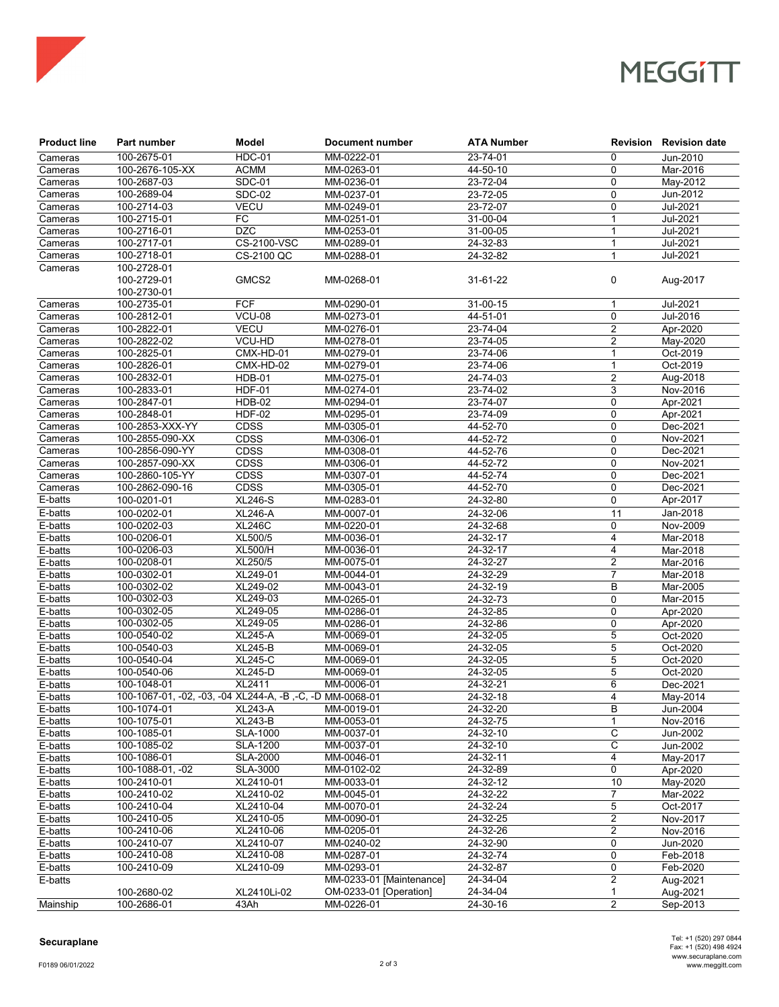

# **MEGGITT**

| <b>Product line</b> | Part number                                               | Model                        | Document number          | <b>ATA Number</b>    |                         | <b>Revision Revision date</b> |
|---------------------|-----------------------------------------------------------|------------------------------|--------------------------|----------------------|-------------------------|-------------------------------|
| Cameras             | 100-2675-01                                               | $HDC-01$                     | MM-0222-01               | 23-74-01             | 0                       | Jun-2010                      |
| Cameras             | 100-2676-105-XX                                           | <b>ACMM</b>                  | MM-0263-01               | 44-50-10             | 0                       | Mar-2016                      |
| Cameras             | 100-2687-03                                               | <b>SDC-01</b>                | MM-0236-01               | 23-72-04             | 0                       | May-2012                      |
| Cameras             | 100-2689-04                                               | <b>SDC-02</b>                | MM-0237-01               | 23-72-05             | $\mathbf 0$             | Jun-2012                      |
| Cameras             | 100-2714-03                                               | <b>VECU</b>                  | MM-0249-01               | 23-72-07             | $\mathbf 0$             | Jul-2021                      |
| Cameras             | 100-2715-01                                               | FC                           | MM-0251-01               | 31-00-04             | 1                       | Jul-2021                      |
| Cameras             | 100-2716-01                                               | <b>DZC</b>                   | MM-0253-01               | 31-00-05             | 1                       | Jul-2021                      |
| Cameras             | 100-2717-01                                               | CS-2100-VSC                  | MM-0289-01               | 24-32-83             | 1                       | Jul-2021                      |
| Cameras             | 100-2718-01                                               | CS-2100 QC                   | MM-0288-01               | 24-32-82             | $\mathbf{1}$            | Jul-2021                      |
| Cameras             | 100-2728-01                                               |                              |                          |                      |                         |                               |
|                     | 100-2729-01<br>100-2730-01                                | GMCS2                        | MM-0268-01               | 31-61-22             | 0                       | Aug-2017                      |
| Cameras             | 100-2735-01                                               | <b>FCF</b>                   | MM-0290-01               | 31-00-15             | 1                       | Jul-2021                      |
| Cameras             | 100-2812-01                                               | <b>VCU-08</b>                | MM-0273-01               | 44-51-01             | $\mathbf 0$             | Jul-2016                      |
| Cameras             | 100-2822-01                                               | <b>VECU</b>                  | MM-0276-01               | 23-74-04             | $\overline{2}$          | Apr-2020                      |
| Cameras             | 100-2822-02                                               | VCU-HD                       | MM-0278-01               | 23-74-05             | 2                       | May-2020                      |
| Cameras             | 100-2825-01                                               | CMX-HD-01                    | MM-0279-01               | 23-74-06             |                         | Oct-2019                      |
| Cameras             | 100-2826-01                                               | CMX-HD-02                    | MM-0279-01               | 23-74-06             | 1                       | Oct-2019                      |
| Cameras             | 100-2832-01                                               | <b>HDB-01</b>                | MM-0275-01               | 24-74-03             | $\overline{2}$          | Aug-2018                      |
| Cameras             | 100-2833-01                                               | <b>HDF-01</b>                | MM-0274-01               | 23-74-02             | 3                       | Nov-2016                      |
| Cameras             | 100-2847-01                                               | <b>HDB-02</b>                | MM-0294-01               | 23-74-07             | 0                       | Apr-2021                      |
|                     | 100-2848-01                                               |                              |                          |                      | 0                       |                               |
| Cameras             |                                                           | <b>HDF-02</b><br><b>CDSS</b> | MM-0295-01               | 23-74-09             |                         | Apr-2021                      |
| Cameras             | 100-2853-XXX-YY<br>100-2855-090-XX                        | CDSS                         | MM-0305-01               | 44-52-70<br>44-52-72 | 0<br>$\mathbf 0$        | Dec-2021                      |
| Cameras             |                                                           |                              | MM-0306-01               |                      |                         | Nov-2021                      |
| Cameras             | 100-2856-090-YY                                           | CDSS                         | MM-0308-01               | 44-52-76             | 0                       | Dec-2021                      |
| Cameras             | 100-2857-090-XX                                           | CDSS                         | MM-0306-01               | 44-52-72             | 0                       | Nov-2021                      |
| Cameras             | 100-2860-105-YY                                           | <b>CDSS</b>                  | MM-0307-01               | 44-52-74             | 0                       | Dec-2021                      |
| Cameras             | 100-2862-090-16                                           | CDSS                         | MM-0305-01               | 44-52-70             | 0                       | Dec-2021                      |
| E-batts             | 100-0201-01                                               | <b>XL246-S</b>               | MM-0283-01               | 24-32-80             | $\mathbf 0$             | Apr-2017                      |
| $E$ -batts          | 100-0202-01                                               | <b>XL246-A</b>               | MM-0007-01               | 24-32-06             | 11                      | Jan-2018                      |
| E-batts             | 100-0202-03                                               | <b>XL246C</b>                | MM-0220-01               | 24-32-68             | 0                       | Nov-2009                      |
| E-batts             | 100-0206-01                                               | XL500/5                      | MM-0036-01               | 24-32-17             | 4                       | Mar-2018                      |
| E-batts             | 100-0206-03                                               | <b>XL500/H</b>               | MM-0036-01               | 24-32-17             | 4                       | Mar-2018                      |
| E-batts             | 100-0208-01                                               | XL250/5                      | MM-0075-01               | 24-32-27             | $\overline{2}$          | Mar-2016                      |
| E-batts             | 100-0302-01                                               | XL249-01                     | MM-0044-01               | 24-32-29             | 7                       | Mar-2018                      |
| E-batts             | 100-0302-02                                               | XL249-02                     | MM-0043-01               | 24-32-19             | В                       | Mar-2005                      |
| E-batts             | 100-0302-03                                               | XL249-03                     | MM-0265-01               | 24-32-73             | $\mathbf 0$             | Mar-2015                      |
| E-batts             | 100-0302-05                                               | XL249-05                     | MM-0286-01               | 24-32-85             | 0                       | Apr-2020                      |
| E-batts             | 100-0302-05                                               | XL249-05                     | MM-0286-01               | 24-32-86             | 0                       | Apr-2020                      |
| E-batts             | 100-0540-02                                               | <b>XL245-A</b>               | MM-0069-01               | 24-32-05             | 5                       | Oct-2020                      |
| E-batts             | 100-0540-03                                               | $XL245-B$                    | MM-0069-01               | 24-32-05             | 5                       | Oct-2020                      |
| E-batts             | 100-0540-04                                               | <b>XL245-C</b>               | MM-0069-01               | 24-32-05             | 5                       | Oct-2020                      |
| E-batts             | 100-0540-06                                               | <b>XL245-D</b>               | MM-0069-01               | 24-32-05             | 5                       | Oct-2020                      |
| E-batts             | 100-1048-01                                               | XL2411                       | MM-0006-01               | 24-32-21             | 6                       | Dec-2021                      |
| E-batts             | 100-1067-01, -02, -03, -04 XL244-A, -B, -C, -D MM-0068-01 |                              |                          | 24-32-18             | 4                       | May-2014                      |
| E-batts             | 100-1074-01                                               | <b>XL243-A</b>               | MM-0019-01               | 24-32-20             | В                       | Jun-2004                      |
| E-batts             | 100-1075-01                                               | <b>XL243-B</b>               | MM-0053-01               | 24-32-75             | $\mathbf{1}$            | Nov-2016                      |
| E-batts             | 100-1085-01                                               | <b>SLA-1000</b>              | MM-0037-01               | 24-32-10             | С                       | Jun-2002                      |
| E-batts             | 100-1085-02                                               | <b>SLA-1200</b>              | MM-0037-01               | 24-32-10             | С                       | Jun-2002                      |
| E-batts             | 100-1086-01                                               | <b>SLA-2000</b>              | MM-0046-01               | $24 - 32 - 11$       | 4                       | May-2017                      |
| E-batts             | 100-1088-01. -02                                          | <b>SLA-3000</b>              | MM-0102-02               | 24-32-89             | 0                       | Apr-2020                      |
| E-batts             | 100-2410-01                                               | XL2410-01                    | MM-0033-01               | 24-32-12             | 10                      | May-2020                      |
| E-batts             | 100-2410-02                                               | XL2410-02                    | MM-0045-01               | 24-32-22             | 7                       | Mar-2022                      |
| E-batts             | 100-2410-04                                               | XL2410-04                    | MM-0070-01               | 24-32-24             | 5                       | Oct-2017                      |
| E-batts             | 100-2410-05                                               | XL2410-05                    | MM-0090-01               | 24-32-25             | 2                       | Nov-2017                      |
| E-batts             | 100-2410-06                                               | XL2410-06                    | MM-0205-01               | $24 - 32 - 26$       | $\overline{\mathbf{c}}$ | Nov-2016                      |
| E-batts             | 100-2410-07                                               | XL2410-07                    | MM-0240-02               | 24-32-90             | 0                       | Jun-2020                      |
| E-batts             | 100-2410-08                                               | XL2410-08                    | MM-0287-01               | 24-32-74             | 0                       | Feb-2018                      |
| E-batts             | 100-2410-09                                               | XL2410-09                    | MM-0293-01               | 24-32-87             | 0                       | Feb-2020                      |
| E-batts             |                                                           |                              | MM-0233-01 [Maintenance] | 24-34-04             | 2                       | Aug-2021                      |
|                     | 100-2680-02                                               | XL2410Li-02                  | OM-0233-01 [Operation]   | 24-34-04             | 1                       | Aug-2021                      |
| Mainship            | 100-2686-01                                               | 43Ah                         | MM-0226-01               | 24-30-16             | $\overline{2}$          | Sep-2013                      |

#### **Securaplane**